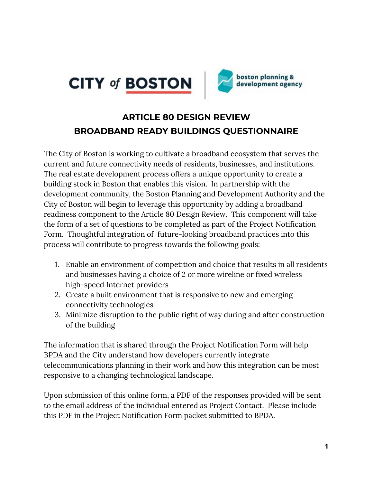



# **ARTICLE 80 DESIGN REVIEW BROADBAND READY BUILDINGS QUESTIONNAIRE**

The City of Boston is working to cultivate a broadband ecosystem that serves the current and future connectivity needs of residents, businesses, and institutions. The real estate development process offers a unique opportunity to create a building stock in Boston that enables this vision. In partnership with the development community, the Boston Planning and Development Authority and the City of Boston will begin to leverage this opportunity by adding a broadband readiness component to the Article 80 Design Review. This component will take the form of a set of questions to be completed as part of the Project Notification Form. Thoughtful integration of future-looking broadband practices into this process will contribute to progress towards the following goals:

- 1. Enable an environment of competition and choice that results in all residents and businesses having a choice of 2 or more wireline or fixed wireless high-speed Internet providers
- 2. Create a built environment that is responsive to new and emerging connectivity technologies
- 3. Minimize disruption to the public right of way during and after construction of the building

The information that is shared through the Project Notification Form will help BPDA and the City understand how developers currently integrate telecommunications planning in their work and how this integration can be most responsive to a changing technological landscape.

Upon submission of this online form, a PDF of the responses provided will be sent to the email address of the individual entered as Project Contact. Please include this PDF in the Project Notification Form packet submitted to BPDA.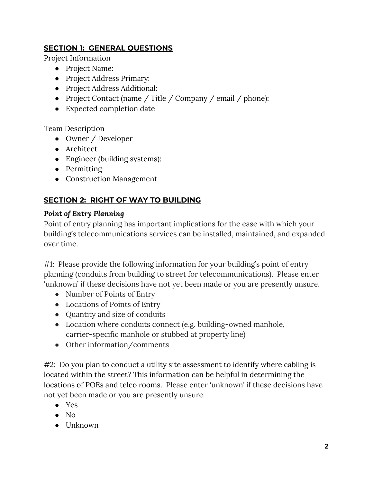### **SECTION 1: GENERAL QUESTIONS**

Project Information

- Project Name:
- Project Address Primary:
- Project Address Additional:
- Project Contact (name / Title / Company / email / phone):
- Expected completion date

### Team Description

- Owner / Developer
- Architect
- Engineer (building systems):
- Permitting:
- Construction Management

### **SECTION 2: RIGHT OF WAY TO BUILDING**

### *Point of Entry Planning*

Point of entry planning has important implications for the ease with which your building's telecommunications services can be installed, maintained, and expanded over time.

#1: Please provide the following information for your building's point of entry planning (conduits from building to street for telecommunications). Please enter 'unknown' if these decisions have not yet been made or you are presently unsure.

- Number of Points of Entry
- Locations of Points of Entry
- Quantity and size of conduits
- Location where conduits connect (e.g. building-owned manhole, carrier-specific manhole or stubbed at property line)
- Other information/comments

#2: Do you plan to conduct a utility site assessment to identify where cabling is located within the street? This information can be helpful in determining the locations of POEs and telco rooms. Please enter 'unknown' if these decisions have not yet been made or you are presently unsure.

- Yes
- $\bullet$  No
- Unknown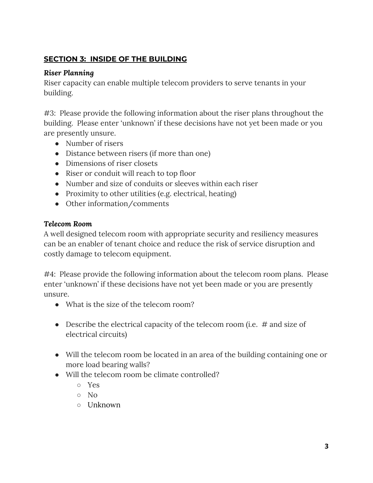### **SECTION 3: INSIDE OF THE BUILDING**

### *Riser Planning*

Riser capacity can enable multiple telecom providers to serve tenants in your building.

#3: Please provide the following information about the riser plans throughout the building. Please enter 'unknown' if these decisions have not yet been made or you are presently unsure.

- Number of risers
- Distance between risers (if more than one)
- Dimensions of riser closets
- Riser or conduit will reach to top floor
- Number and size of conduits or sleeves within each riser
- Proximity to other utilities (e.g. electrical, heating)
- Other information/comments

### *Telecom Room*

A well designed telecom room with appropriate security and resiliency measures can be an enabler of tenant choice and reduce the risk of service disruption and costly damage to telecom equipment.

#4: Please provide the following information about the telecom room plans. Please enter 'unknown' if these decisions have not yet been made or you are presently unsure.

- What is the size of the telecom room?
- Describe the electrical capacity of the telecom room (i.e.  $#$  and size of electrical circuits)
- Will the telecom room be located in an area of the building containing one or more load bearing walls?
- Will the telecom room be climate controlled?
	- Yes
	- No
	- Unknown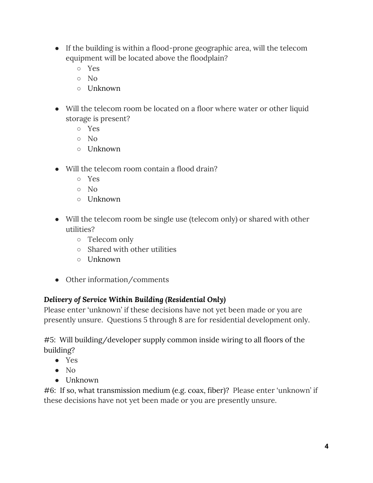- If the building is within a flood-prone geographic area, will the telecom equipment will be located above the floodplain?
	- Yes
	- No
	- Unknown
- Will the telecom room be located on a floor where water or other liquid storage is present?
	- Yes
	- $\circ$  No
	- Unknown
- Will the telecom room contain a flood drain?
	- Yes
	- No
	- Unknown
- Will the telecom room be single use (telecom only) or shared with other utilities?
	- Telecom only
	- Shared with other utilities
	- Unknown
- Other information/comments

# *Delivery of Service Within Building (Residential Only)*

Please enter 'unknown' if these decisions have not yet been made or you are presently unsure. Questions 5 through 8 are for residential development only.

#5: Will building/developer supply common inside wiring to all floors of the building?

- Yes
- No
- Unknown

#6: If so, what transmission medium (e.g. coax, fiber)? Please enter 'unknown' if these decisions have not yet been made or you are presently unsure.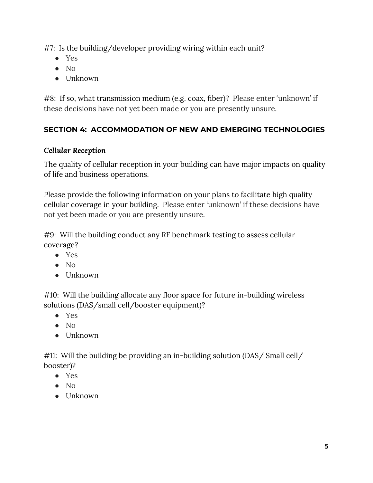#7: Is the building/developer providing wiring within each unit?

- Yes
- No
- Unknown

#8: If so, what transmission medium (e.g. coax, fiber)? Please enter 'unknown' if these decisions have not yet been made or you are presently unsure.

# **SECTION 4: ACCOMMODATION OF NEW AND EMERGING TECHNOLOGIES**

### *Cellular Reception*

The quality of cellular reception in your building can have major impacts on quality of life and business operations.

Please provide the following information on your plans to facilitate high quality cellular coverage in your building. Please enter 'unknown' if these decisions have not yet been made or you are presently unsure.

#9: Will the building conduct any RF benchmark testing to assess cellular coverage?

- Yes
- No
- Unknown

#10: Will the building allocate any floor space for future in-building wireless solutions (DAS/small cell/booster equipment)?

- Yes
- No
- Unknown

#11: Will the building be providing an in-building solution (DAS/ Small cell/ booster)?

- Yes
- No
- Unknown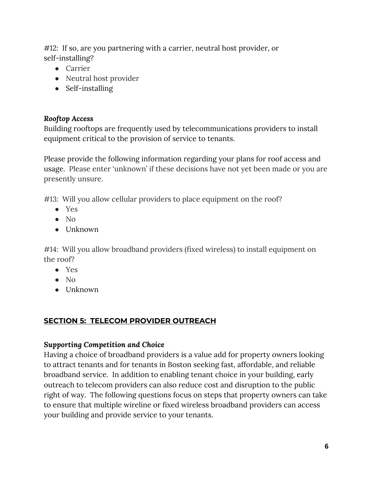#12: If so, are you partnering with a carrier, neutral host provider, or self-installing?

- Carrier
- Neutral host provider
- Self-installing

### *Rooftop Access*

Building rooftops are frequently used by telecommunications providers to install equipment critical to the provision of service to tenants.

Please provide the following information regarding your plans for roof access and usage. Please enter 'unknown' if these decisions have not yet been made or you are presently unsure.

#13: Will you allow cellular providers to place equipment on the roof?

- Yes
- No
- Unknown

#14: Will you allow broadband providers (fixed wireless) to install equipment on the roof?

- Yes
- No
- Unknown

# **SECTION 5: TELECOM PROVIDER OUTREACH**

# *Supporting Competition and Choice*

Having a choice of broadband providers is a value add for property owners looking to attract tenants and for tenants in Boston seeking fast, affordable, and reliable broadband service. In addition to enabling tenant choice in your building, early outreach to telecom providers can also reduce cost and disruption to the public right of way. The following questions focus on steps that property owners can take to ensure that multiple wireline or fixed wireless broadband providers can access your building and provide service to your tenants.